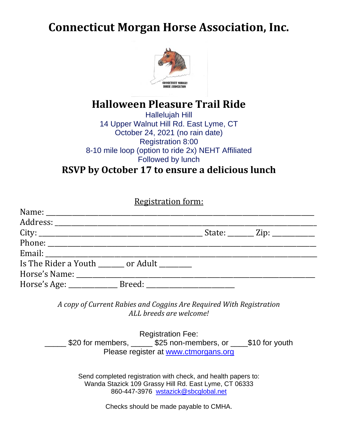## **Connecticut Morgan Horse Association, Inc.**



## **Halloween Pleasure Trail Ride**

Hallelujah Hill 14 Upper Walnut Hill Rd. East Lyme, CT October 24, 2021 (no rain date) Registration 8:00 8-10 mile loop (option to ride 2x) NEHT Affiliated Followed by lunch

**RSVP by October 17 to ensure a delicious lunch**

**Registration form:** 

| Is The Rider a Youth _______ or Adult _______ |  |
|-----------------------------------------------|--|
|                                               |  |
|                                               |  |

*A copy of Current Rabies and Coggins Are Required With Registration ALL breeds are welcome!*

Registration Fee: \$20 for members, \_\_\_\_\_\_ \$25 non-members, or \_\_\_\_\_\_\_\$10 for youth Please register at www.ctmorgans.org

> Send completed registration with check, and health papers to: Wanda Stazick 109 Grassy Hill Rd. East Lyme, CT 06333 860-447-3976 wstazick@sbcglobal.net

> > Checks should be made payable to CMHA.